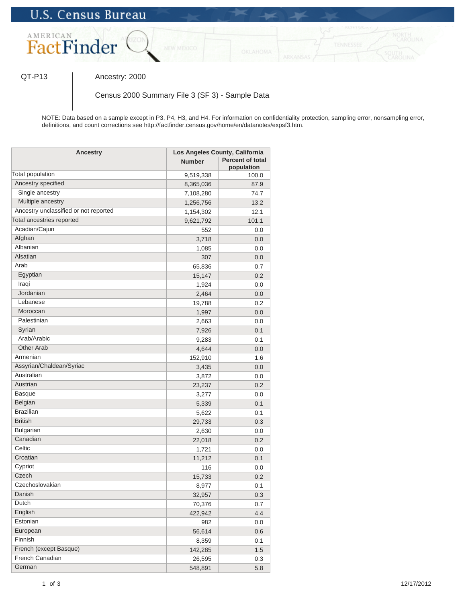

QT-P13 | Ancestry: 2000

Census 2000 Summary File 3 (SF 3) - Sample Data

NOTE: Data based on a sample except in P3, P4, H3, and H4. For information on confidentiality protection, sampling error, nonsampling error, definitions, and count corrections see http://factfinder.census.gov/home/en/datanotes/expsf3.htm.

| Ancestry                              | Los Angeles County, California |                                       |
|---------------------------------------|--------------------------------|---------------------------------------|
|                                       | <b>Number</b>                  | <b>Percent of total</b><br>population |
| Total population                      | 9,519,338                      | 100.0                                 |
| Ancestry specified                    | 8,365,036                      | 87.9                                  |
| Single ancestry                       | 7,108,280                      | 74.7                                  |
| Multiple ancestry                     | 1,256,756                      | 13.2                                  |
| Ancestry unclassified or not reported | 1,154,302                      | 12.1                                  |
| Total ancestries reported             | 9,621,792                      | 101.1                                 |
| Acadian/Cajun                         | 552                            | 0.0                                   |
| Afghan                                | 3,718                          | 0.0                                   |
| Albanian                              | 1,085                          | 0.0                                   |
| Alsatian                              | 307                            | 0.0                                   |
| Arab                                  | 65,836                         | 0.7                                   |
| Egyptian                              | 15,147                         | 0.2                                   |
| Iraqi                                 | 1,924                          | 0.0                                   |
| Jordanian                             | 2,464                          | 0.0                                   |
| Lebanese                              | 19,788                         | 0.2                                   |
| Moroccan                              | 1,997                          | 0.0                                   |
| Palestinian                           | 2,663                          | 0.0                                   |
| Syrian                                | 7,926                          | 0.1                                   |
| Arab/Arabic                           | 9,283                          | 0.1                                   |
| <b>Other Arab</b>                     | 4,644                          | 0.0                                   |
| Armenian                              | 152,910                        | 1.6                                   |
| Assyrian/Chaldean/Syriac              | 3,435                          | 0.0                                   |
| Australian                            | 3,872                          | 0.0                                   |
| Austrian                              | 23,237                         | 0.2                                   |
| <b>Basque</b>                         | 3,277                          | 0.0                                   |
| Belgian                               | 5,339                          | 0.1                                   |
| <b>Brazilian</b>                      | 5,622                          | 0.1                                   |
| <b>British</b>                        | 29,733                         | 0.3                                   |
| Bulgarian                             | 2,630                          | 0.0                                   |
| Canadian                              | 22,018                         | 0.2                                   |
| Celtic                                | 1,721                          | 0.0                                   |
| Croatian                              | 11,212                         | 0.1                                   |
| Cypriot                               | 116                            | 0.0                                   |
| Czech                                 | 15,733                         | 0.2                                   |
| Czechoslovakian                       | 8,977                          | 0.1                                   |
| Danish                                | 32,957                         | 0.3                                   |
| Dutch                                 | 70,376                         | 0.7                                   |
| English                               | 422,942                        | 4.4                                   |
| Estonian                              | 982                            | 0.0                                   |
| European                              | 56,614                         | 0.6                                   |
| Finnish                               | 8,359                          | 0.1                                   |
| French (except Basque)                | 142,285                        | $1.5$                                 |
| French Canadian                       | 26,595                         | 0.3                                   |
| German                                | 548,891                        | 5.8                                   |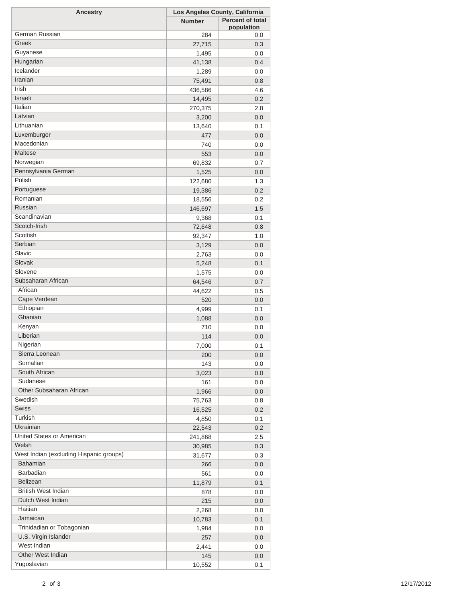| <b>Ancestry</b>                         | Los Angeles County, California |                         |
|-----------------------------------------|--------------------------------|-------------------------|
|                                         | <b>Number</b>                  | <b>Percent of total</b> |
| German Russian                          |                                | population              |
|                                         | 284                            | 0.0                     |
| Greek                                   | 27,715                         | 0.3                     |
| Guyanese                                | 1,495                          | 0.0                     |
| Hungarian                               | 41,138                         | 0.4                     |
| Icelander                               | 1,289                          | 0.0                     |
| Iranian                                 | 75,491                         | 0.8                     |
| Irish                                   | 436,586                        | 4.6                     |
| Israeli                                 | 14,495                         | 0.2                     |
| Italian                                 | 270,375                        | 2.8                     |
| Latvian                                 | 3,200                          | 0.0                     |
| Lithuanian                              | 13,640                         | 0.1                     |
| Luxemburger                             | 477                            | 0.0                     |
| Macedonian                              | 740                            | 0.0                     |
| Maltese                                 | 553                            | 0.0                     |
| Norwegian                               | 69,832                         | 0.7                     |
| Pennsylvania German                     | 1,525                          | 0.0                     |
| Polish                                  | 122,680                        | 1.3                     |
| Portuguese                              | 19,386                         | 0.2                     |
| Romanian                                | 18,556                         | 0.2                     |
| Russian                                 | 146,697                        | 1.5                     |
| Scandinavian                            | 9,368                          | 0.1                     |
| Scotch-Irish                            | 72,648                         | 0.8                     |
| Scottish                                | 92,347                         | 1.0                     |
| Serbian                                 | 3,129                          | 0.0                     |
| Slavic                                  | 2,763                          | 0.0                     |
| Slovak                                  | 5,248                          | 0.1                     |
| Slovene                                 |                                |                         |
| Subsaharan African                      | 1,575                          | 0.0                     |
| African                                 | 64,546                         | 0.7                     |
| Cape Verdean                            | 44,622                         | 0.5                     |
| Ethiopian                               | 520                            | 0.0                     |
|                                         | 4,999                          | 0.1                     |
| Ghanian                                 | 1,088                          | 0.0                     |
| Kenyan                                  | 710                            | 0.0                     |
| Liberian                                | 114                            | 0.0                     |
| Nigerian                                | 7,000                          | 0.1                     |
| Sierra Leonean                          | 200                            | 0.0                     |
| Somalian                                | 143                            | 0.0                     |
| South African                           | 3,023                          | 0.0                     |
| Sudanese                                | 161                            | 0.0                     |
| Other Subsaharan African                | 1,966                          | 0.0                     |
| Swedish                                 | 75,763                         | 0.8                     |
| <b>Swiss</b>                            | 16,525                         | 0.2                     |
| Turkish                                 | 4,850                          | 0.1                     |
| Ukrainian                               | 22,543                         | 0.2                     |
| United States or American               | 241,868                        | 2.5                     |
| Welsh                                   | 30,985                         | 0.3                     |
| West Indian (excluding Hispanic groups) | 31,677                         | 0.3                     |
| <b>Bahamian</b>                         | 266                            | 0.0                     |
| Barbadian                               | 561                            | 0.0                     |
| Belizean                                | 11,879                         | 0.1                     |
| <b>British West Indian</b>              | 878                            | 0.0                     |
| Dutch West Indian                       | 215                            | 0.0                     |
| Haitian                                 | 2,268                          | 0.0                     |
| Jamaican                                |                                |                         |
| Trinidadian or Tobagonian               | 10,783                         | 0.1                     |
| U.S. Virgin Islander                    | 1,984                          | 0.0                     |
| West Indian                             | 257                            | 0.0                     |
|                                         | 2,441                          | 0.0                     |
| Other West Indian                       | 145                            | 0.0                     |
| Yugoslavian                             | 10,552                         | 0.1                     |